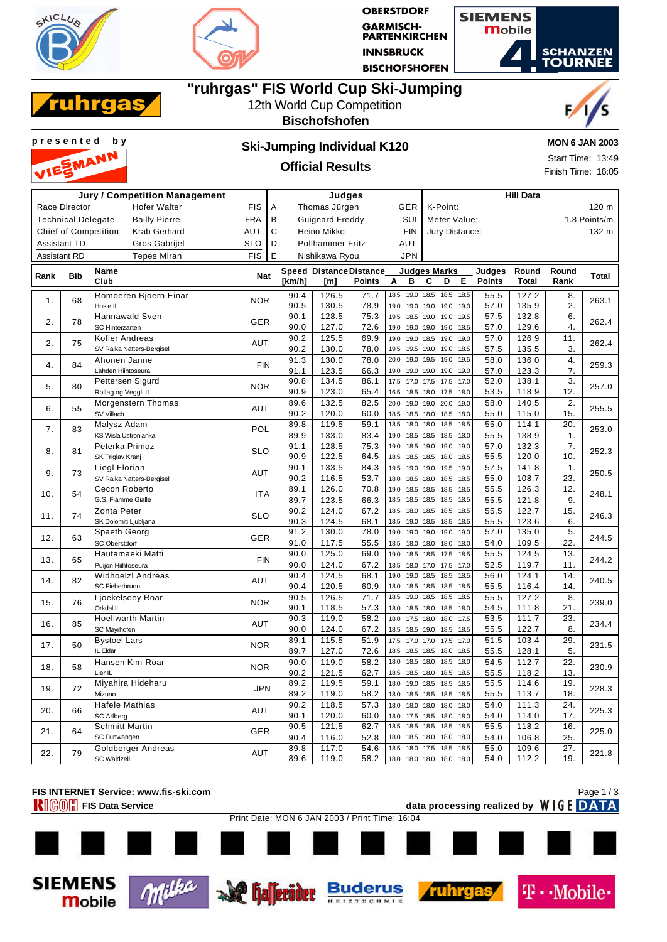



**OBERSTDORF GARMISCH-<br>PARTENKIRCHEN INNSBRUCK BISCHOFSHOFEN** 



# **"ruhrgas" FIS World Cup Ski-Jumping**



### 12th World Cup Competition

### **Bischofshofen**





### **Official Results**

**MON 6 JAN 2003**

Start Time: 13:49 Finish Time: 16:05

| Jury / Competition Management |                           |                                                    |            | Judges |                        |                         |                                |              |                        | <b>Hill Data</b>       |              |              |                         |                |                       |              |
|-------------------------------|---------------------------|----------------------------------------------------|------------|--------|------------------------|-------------------------|--------------------------------|--------------|------------------------|------------------------|--------------|--------------|-------------------------|----------------|-----------------------|--------------|
|                               | Race Director             | <b>Hofer Walter</b>                                | <b>FIS</b> | A      | Thomas Jürgen          |                         |                                | GER          |                        | K-Point:               |              |              |                         |                |                       | 120 m        |
|                               | <b>Technical Delegate</b> | <b>Bailly Pierre</b>                               | <b>FRA</b> | В      | <b>Guignard Freddy</b> |                         |                                | SUI          |                        | Meter Value:           |              |              |                         |                |                       | 1.8 Points/m |
|                               |                           | <b>Chief of Competition</b><br><b>Krab Gerhard</b> | AUT        | C      | Heino Mikko            |                         |                                | <b>FIN</b>   |                        | Jury Distance:         |              |              |                         |                |                       | 132 m        |
|                               | <b>Assistant TD</b>       | Gros Gabrijel                                      | <b>SLO</b> | D      |                        | <b>Pollhammer Fritz</b> |                                | <b>AUT</b>   |                        |                        |              |              |                         |                |                       |              |
| <b>Assistant RD</b>           |                           | <b>Tepes Miran</b>                                 | <b>FIS</b> | E      |                        | Nishikawa Ryou          |                                | <b>JPN</b>   |                        |                        |              |              |                         |                |                       |              |
|                               |                           | <b>Name</b>                                        |            |        |                        |                         | <b>Speed Distance Distance</b> |              |                        | <b>Judges Marks</b>    |              |              |                         | Round          | Round                 |              |
| Rank                          | <b>Bib</b>                | Club                                               | <b>Nat</b> | [km/h] |                        | [m]                     | <b>Points</b>                  | A<br>в       |                        | С                      | D            | E            | Judges<br><b>Points</b> | <b>Total</b>   | Rank                  | Total        |
| 1.                            | 68                        | Romoeren Bjoern Einar<br>Hosle IL                  | <b>NOR</b> |        | 90.4<br>90.5           | 126.5<br>130.5          | 71.7<br>78.9                   | 18.5<br>19.0 | 19.0 19.0              | 19.0 18.5 18.5         | 19.0         | 18.5<br>19.0 | 55.5<br>57.0            | 127.2<br>135.9 | 8.<br>2.              | 263.1        |
| 2.                            | 78                        | <b>Hannawald Sven</b><br>SC Hinterzarten           | <b>GER</b> |        | 90.1<br>90.0           | 128.5<br>127.0          | 75.3<br>72.6                   | 19.5<br>19.0 | 18.5 19.0<br>19.0 19.0 |                        | 19.0<br>19.0 | 19.5<br>18.5 | 57.5<br>57.0            | 132.8<br>129.6 | 6.<br>4.              | 262.4        |
| 2.                            | 75                        | Kofler Andreas<br>SV Raika Natters-Bergisel        | AUT        |        | 90.2<br>90.2           | 125.5<br>130.0          | 69.9<br>78.0                   | 19.0<br>19.5 | 19.0<br>19.5 19.0      | 18.5 19.0              | 19.0         | 19.0<br>18.5 | 57.0<br>57.5            | 126.9<br>135.5 | 11.<br>3.             | 262.4        |
|                               |                           | Ahonen Janne                                       |            |        | 91.3                   | 130.0                   | 78.0                           | 20.0         | 19.0 19.5              |                        | 19.0         | 19.5         | 58.0                    | 136.0          | 4.                    |              |
| 4.                            | 84                        | Lahden Hiihtoseura                                 | <b>FIN</b> |        | 91.1                   | 123.5                   | 66.3                           | 19.0         |                        | 19.0 19.0 19.0         |              | 19.0         | 57.0                    | 123.3          | $\overline{7}$ .      | 259.3        |
|                               |                           | Pettersen Sigurd                                   |            |        | 90.8                   | 134.5                   | 86.1                           | 17.5         | 17.0                   | 17.5                   | 17.5         | 17.0         | 52.0                    | 138.1          | 3.                    |              |
| 5.                            | 80                        | Rollag og Veggli IL                                | <b>NOR</b> |        | 90.9                   | 123.0                   | 65.4                           | 16.5         |                        | 18.5 18.0 17.5         |              | 18.0         | 53.5                    | 118.9          | 12.                   | 257.0        |
|                               | 55                        | Morgenstern Thomas                                 |            |        | 89.6                   | 132.5                   | 82.5                           | 20.0         | 19.0                   | 19.0                   | 20.0         | 19.0         | 58.0                    | 140.5          | 2.                    |              |
| 6.                            |                           | SV Villach                                         | AUT        |        | 90.2                   | 120.0                   | 60.0                           | 18.5         | 18.5 18.0              |                        | 18.5         | 18.0         | 55.0                    | 115.0          | 15.                   | 255.5        |
| 7.                            | 83                        | Malysz Adam<br>KS Wisla Ustronianka                | POL        |        | 89.8<br>89.9           | 119.5                   | 59.1                           | 18.5<br>19.0 | 18.0<br>18.5 18.5      | 18.0                   | 18.5<br>18.5 | 18.5<br>18.0 | 55.0                    | 114.1          | 20.<br>1 <sub>1</sub> | 253.0        |
|                               |                           | Peterka Primoz                                     |            |        | 91.1                   | 133.0<br>128.5          | 83.4<br>75.3                   | 19.0         | 18.5                   | 19.0                   | 19.0         | 19.0         | 55.5<br>57.0            | 138.9<br>132.3 | 7.                    |              |
| 8.                            | 81                        | SK Triglav Kranj                                   | <b>SLO</b> |        | 90.9                   | 122.5                   | 64.5                           | 18.5         | 18.5 18.5              |                        | 18.0         | 18.5         | 55.5                    | 120.0          | 10.                   | 252.3        |
| 9.                            | 73                        | Liegl Florian                                      | AUT        |        | 90.1                   | 133.5                   | 84.3                           | 19.5         | 19.0 19.0              |                        | 19.5         | 19.0         | 57.5                    | 141.8          | 1.                    | 250.5        |
|                               |                           | SV Raika Natters-Bergisel                          |            |        | 90.2                   | 116.5                   | 53.7                           | 18.0         | 18.5 18.0              |                        | 18.5         | 18.5         | 55.0                    | 108.7          | 23.                   |              |
| 10.                           | 54                        | Cecon Roberto                                      | <b>ITA</b> |        | 89.1                   | 126.0                   | 70.8                           | 19.0         | 18.5 18.5              |                        | 18.5         | 18.5         | 55.5                    | 126.3          | 12.                   | 248.1        |
|                               |                           | G.S. Fiamme Gialle<br>Zonta Peter                  |            |        | 89.7<br>90.2           | 123.5<br>124.0          | 66.3                           | 18.5<br>18.5 | 18.0                   | 18.5 18.5 18.5<br>18.5 | 18.5         | 18.5<br>18.5 | 55.5                    | 121.8<br>122.7 | 9.                    |              |
| 11.                           | 74                        | SK Dolomiti Ljubljana                              | <b>SLO</b> |        | 90.3                   | 124.5                   | 67.2<br>68.1                   | 18.5         |                        | 19.0 18.5 18.5         |              | 18.5         | 55.5<br>55.5            | 123.6          | 15.<br>6.             | 246.3        |
|                               |                           | Spaeth Georg                                       |            |        | 91.2                   | 130.0                   | 78.0                           | 19.0         | 19.0                   | 19.0                   | 19.0         | 19.0         | 57.0                    | 135.0          | 5.                    |              |
| 12.                           | 63                        | <b>SC Oberstdorf</b>                               | <b>GER</b> |        | 91.0                   | 117.5                   | 55.5                           | 18.5         | 18.0 18.0              |                        | 18.0         | 18.0         | 54.0                    | 109.5          | 22.                   | 244.5        |
|                               |                           | Hautamaeki Matti                                   |            |        | 90.0                   | 125.0                   | 69.0                           | 19.0         |                        | 18.5 18.5 17.5         |              | 18.5         | 55.5                    | 124.5          | 13.                   |              |
| 13.                           | 65                        | Puijon Hiihtoseura                                 | <b>FIN</b> |        | 90.0                   | 124.0                   | 67.2                           | 18.5         | 18.0 17.0              |                        | 17.5         | 17.0         | 52.5                    | 119.7          | 11.                   | 244.2        |
| 14.                           | 82                        | <b>Widhoelzl Andreas</b>                           | AUT        |        | 90.4                   | 124.5                   | 68.1                           | 19.0         | 19.0                   | 18.5                   | 18.5         | 18.5         | 56.0                    | 124.1          | 14.                   | 240.5        |
|                               |                           | SC Fieberbrunn                                     |            |        | 90.4                   | 120.5                   | 60.9                           | 18.0         | 18.5 18.5              |                        | 18.5         | 18.5         | 55.5                    | 116.4          | 14.                   |              |
| 15.                           | 76                        | Ljoekelsoey Roar                                   | <b>NOR</b> |        | 90.5                   | 126.5                   | 71.7                           | 18.5         | 19.0                   | 18.5                   | 18.5         | 18.5         | 55.5                    | 127.2          | 8.                    | 239.0        |
|                               |                           | Orkdal IL                                          |            |        | 90.1                   | 118.5                   | 57.3                           | 18.0         | 18.5 18.0              |                        | 18.5         | 18.0         | 54.5                    | 111.8          | 21.                   |              |
| 16.                           | 85                        | <b>Hoellwarth Martin</b>                           | AUT        |        | 90.3                   | 119.0                   | 58.2                           | 18.0         | 17.5 18.0              |                        | 18.0         | 17.5         | 53.5                    | 111.7          | 23.                   | 234.4        |
|                               |                           | SC Mayrhofen                                       |            |        | 90.0                   | 124.0                   | 67.2                           | 18.5         |                        | 18.5 19.0 18.5         |              | 18.5         | 55.5                    | 122.7          | 8.                    |              |
| 17.                           | 50                        | <b>Bystoel Lars</b><br>IL Eldar                    | <b>NOR</b> |        | 89.1<br>89.7           | 115.5<br>127.0          | 51.9<br>72.6                   | 17.5<br>18.5 | 17.0<br>18.5 18.5      | 17.0                   | 17.5<br>18.0 | 17.0<br>18.5 | 51.5                    | 103.4<br>128.1 | 29.<br>5.             | 231.5        |
|                               |                           | Hansen Kim-Roar                                    |            |        | 90.0                   | 119.0                   | 58.2                           | 18.0         | 18.5                   | 18.0                   | 18.5         | 18.0         | 55.5<br>54.5            | 112.7          | 22.                   |              |
| 18.                           | 58                        | Lier IL                                            | <b>NOR</b> |        | 90.2                   | 121.5                   | 62.7                           | 18.5         | 18.5 18.0              |                        | 18.5         | 18.5         | 55.5                    | 118.2          | 13.                   | 230.9        |
|                               |                           | Miyahira Hideharu                                  |            |        | 89.2                   | 119.5                   | 59.1                           | 18.0         |                        | 19.0 18.5 18.5         |              | 18.5         | 55.5                    | 114.6          | 19.                   |              |
| 19.                           | 72                        | Mizuno                                             | <b>JPN</b> |        | 89.2                   | 119.0                   | 58.2                           | 18.0         | 18.5 18.5              |                        | 18.5         | 18.5         | 55.5                    | 113.7          | 18.                   | 228.3        |
|                               |                           | <b>Hafele Mathias</b>                              |            |        | 90.2                   | 118.5                   | 57.3                           | 18.0         | 18.0                   | 18.0                   | 18.0         | 18.0         | 54.0                    | 111.3          | 24.                   |              |
| 20.                           | 66                        | <b>SC Arlberg</b>                                  | AUT        |        | 90.1                   | 120.0                   | 60.0                           | 18.0         | 17.5                   | 18.5                   | 18.0         | 18.0         | 54.0                    | 114.0          | 17.                   | 225.3        |
| 21.                           | 64                        | <b>Schmitt Martin</b>                              | GER        |        | 90.5                   | 121.5                   | 62.7                           | 18.5         | 18.5                   | 18.5                   | 18.5         | 18.5         | 55.5                    | 118.2          | 16.                   | 225.0        |
|                               |                           | SC Furtwangen                                      |            |        | 90.4                   | 116.0                   | 52.8                           | 18.0         | 18.5 18.0              |                        | 18.0         | 18.0         | 54.0                    | 106.8          | 25.                   |              |
| 22.                           | 79                        | Goldberger Andreas                                 | AUT        |        | 89.8                   | 117.0                   | 54.6                           | 18.5         | 18.0 17.5              |                        | 18.5         | 18.5         | 55.0                    | 109.6          | 27.                   | 221.8        |
|                               |                           | <b>SC Waldzell</b>                                 |            |        | 89.6                   | 119.0                   | 58.2                           | 18.0         |                        | 18.0 18.0 18.0         |              | 18.0         | 54.0                    | 112.2          | 19.                   |              |





**Mobile** 









Page 1 / 3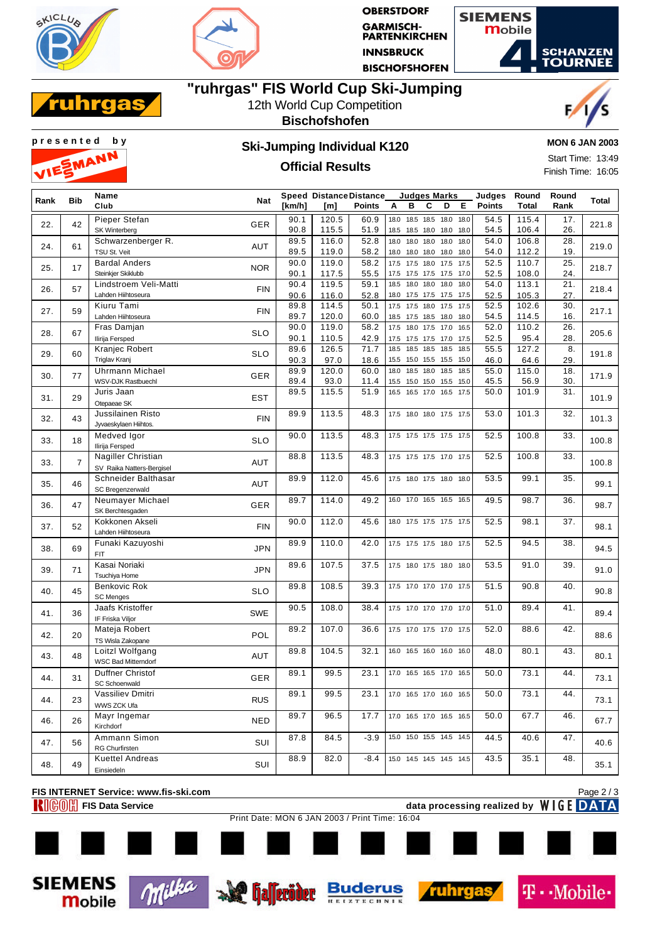



**OBERSTDORF GARMISCH-<br>PARTENKIRCHEN INNSBRUCK BISCHOFSHOFEN** 

**Judges Marks**



# **"ruhrgas" FIS World Cup Ski-Jumping**



#### 12th World Cup Competition **Bischofshofen**





# **Official Results**

**MON 6 JAN 2003**

Start Time: 13:49 Finish Time: 16:05

| Rank | <b>Bib</b>     | Name                       | <b>Nat</b> |              | <b>Speed Distance Distance</b> |               |              |           | Judges Marks             |      |              | Judges        | Round        | Round      | Total |
|------|----------------|----------------------------|------------|--------------|--------------------------------|---------------|--------------|-----------|--------------------------|------|--------------|---------------|--------------|------------|-------|
|      |                | Club                       |            | [km/h]       | [m]                            | <b>Points</b> | А            | в         | С                        | D    | Е            | <b>Points</b> | <b>Total</b> | Rank       |       |
|      |                | Pieper Stefan              |            | 90.1         | 120.5                          | 60.9          | 18.0         |           | 18.5 18.5 18.0 18.0      |      |              | 54.5          | 115.4        | 17.        |       |
| 22.  | 42             | SK Winterberg              | <b>GER</b> | 90.8         | 115.5                          | 51.9          | 18.5         |           | 18.5 18.0 18.0           |      | 18.0         | 54.5          | 106.4        | 26.        | 221.8 |
|      |                | Schwarzenberger R.         |            | 89.5         | 116.0                          | 52.8          | 18.0         |           | 18.0 18.0 18.0           |      | 18.0         | 54.0          | 106.8        | 28.        |       |
| 24.  | 61             | TSU St. Veit               | <b>AUT</b> | 89.5         | 119.0                          | 58.2          | 18.0         |           | 18.0 18.0 18.0 18.0      |      |              | 54.0          | 112.2        | 19.        | 219.0 |
|      |                | <b>Bardal Anders</b>       |            | 90.0         | 119.0                          | 58.2          | 17.5         |           | 17.5 18.0 17.5           |      | 17.5         | 52.5          | 110.7        | 25.        |       |
| 25.  | 17             | Steinkjer Skiklubb         | <b>NOR</b> | 90.1         | 117.5                          | 55.5          |              |           | 17.5 17.5 17.5 17.5 17.0 |      |              | 52.5          | 108.0        | 24.        | 218.7 |
|      |                | Lindstroem Veli-Matti      |            | 90.4         | 119.5                          | 59.1          | 18.5         | 18.0      | 18.0                     | 18.0 | 18.0         | 54.0          | 113.1        | 21.        |       |
| 26.  | 57             | Lahden Hiihtoseura         | <b>FIN</b> |              |                                |               |              |           | 17.5 17.5 17.5           |      |              |               | 105.3        |            | 218.4 |
|      |                | Kiuru Tami                 |            | 90.6<br>89.8 | 116.0<br>114.5                 | 52.8<br>50.1  | 18.0<br>17.5 |           | 17.5 18.0 17.5           |      | 17.5<br>17.5 | 52.5<br>52.5  | 102.6        | 27.<br>30. |       |
| 27.  | 59             |                            | <b>FIN</b> | 89.7         | 120.0                          |               |              |           |                          |      |              |               | 114.5        | 16.        | 217.1 |
|      |                | Lahden Hiihtoseura         |            |              |                                | 60.0          | 18.5         |           | 17.5 18.5 18.0           |      | 18.0         | 54.5          |              |            |       |
| 28.  | 67             | Fras Damjan                | <b>SLO</b> | 90.0         | 119.0                          | 58.2          | 17.5         |           | 18.0 17.5 17.0           |      | 16.5         | 52.0          | 110.2        | 26.        | 205.6 |
|      |                | Ilirija Fersped            |            | 90.1         | 110.5                          | 42.9          | 17.5         |           | 17.5 17.5 17.0           |      | 17.5         | 52.5          | 95.4         | 28.        |       |
| 29.  | 60             | Kranjec Robert             | <b>SLO</b> | 89.6         | 126.5                          | 71.7          | 18.5         | 18.5 18.5 |                          | 18.5 | 18.5         | 55.5          | 127.2        | 8.         | 191.8 |
|      |                | Triglav Kranj              |            | 90.3         | 97.0                           | 18.6          | 15.5         |           | 15.0 15.5 15.5 15.0      |      |              | 46.0          | 64.6         | 29.        |       |
| 30.  | 77             | <b>Uhrmann Michael</b>     | <b>GER</b> | 89.9         | 120.0                          | 60.0          | 18.0         | 18.5 18.0 |                          | 18.5 | 18.5         | 55.0          | 115.0        | 18.        | 171.9 |
|      |                | WSV-DJK Rastbuechl         |            | 89.4         | 93.0                           | 11.4          | 15.5         |           | 15.0 15.0 15.5           |      | 15.0         | 45.5          | 56.9         | 30.        |       |
| 31.  | 29             | Juris Jaan                 | EST        | 89.5         | 115.5                          | 51.9          | 16.5         | 16.5 17.0 |                          | 16.5 | 17.5         | 50.0          | 101.9        | 31.        | 101.9 |
|      |                | Otepaeae SK                |            |              |                                |               |              |           |                          |      |              |               |              |            |       |
| 32.  | 43             | Jussilainen Risto          | <b>FIN</b> | 89.9         | 113.5                          | 48.3          |              |           | 17.5 18.0 18.0 17.5 17.5 |      |              | 53.0          | 101.3        | 32.        | 101.3 |
|      |                | Jyvaeskylaen Hiihtos.      |            |              |                                |               |              |           |                          |      |              |               |              |            |       |
| 33.  | 18             | Medved Igor                | <b>SLO</b> | 90.0         | 113.5                          | 48.3          |              |           | 17.5 17.5 17.5 17.5      |      | 17.5         | 52.5          | 100.8        | 33.        | 100.8 |
|      |                | Ilirija Fersped            |            |              |                                |               |              |           |                          |      |              |               |              |            |       |
| 33.  | $\overline{7}$ | Nagiller Christian         | <b>AUT</b> | 88.8         | 113.5                          | 48.3          |              |           | 17.5 17.5 17.5 17.0 17.5 |      |              | 52.5          | 100.8        | 33.        | 100.8 |
|      |                | SV Raika Natters-Bergisel  |            |              |                                |               |              |           |                          |      |              |               |              |            |       |
| 35.  | 46             | Schneider Balthasar        | <b>AUT</b> | 89.9         | 112.0                          | 45.6          |              |           | 17.5 18.0 17.5 18.0      |      | 18.0         | 53.5          | 99.1         | 35.        | 99.1  |
|      |                | SC Bregenzerwald           |            |              |                                |               |              |           |                          |      |              |               |              |            |       |
| 36.  | 47             | Neumayer Michael           | <b>GER</b> | 89.7         | 114.0                          | 49.2          |              |           | 16.0 17.0 16.5 16.5      |      | 16.5         | 49.5          | 98.7         | 36.        | 98.7  |
|      |                | SK Berchtesgaden           |            |              |                                |               |              |           |                          |      |              |               |              |            |       |
| 37.  | 52             | Kokkonen Akseli            | <b>FIN</b> | 90.0         | 112.0                          | 45.6          |              |           | 18.0 17.5 17.5 17.5 17.5 |      |              | 52.5          | 98.1         | 37.        | 98.1  |
|      |                | Lahden Hiihtoseura         |            |              |                                |               |              |           |                          |      |              |               |              |            |       |
|      |                | Funaki Kazuyoshi           |            | 89.9         | 110.0                          | 42.0          |              |           | 17.5 17.5 17.5 18.0      |      | 17.5         | 52.5          | 94.5         | 38.        |       |
| 38.  | 69             | <b>FIT</b>                 | <b>JPN</b> |              |                                |               |              |           |                          |      |              |               |              |            | 94.5  |
|      |                | Kasai Noriaki              | <b>JPN</b> | 89.6         | 107.5                          | 37.5          |              |           | 17.5 18.0 17.5 18.0      |      | 18.0         | 53.5          | 91.0         | 39.        |       |
| 39.  | 71             | Tsuchiya Home              |            |              |                                |               |              |           |                          |      |              |               |              |            | 91.0  |
|      |                | Benkovic Rok               |            | 89.8         | 108.5                          | 39.3          |              |           | 17.5 17.0 17.0 17.0 17.5 |      |              | 51.5          | 90.8         | 40.        |       |
| 40.  | 45             | <b>SC Menges</b>           | <b>SLO</b> |              |                                |               |              |           |                          |      |              |               |              |            | 90.8  |
|      |                | Jaafs Kristoffer           |            | 90.5         | 108.0                          | 38.4          |              |           | 17.5 17.0 17.0 17.0 17.0 |      |              | 51.0          | 89.4         | 41.        |       |
| 41.  | 36             | IF Friska Viljor           | SWE        |              |                                |               |              |           |                          |      |              |               |              |            | 89.4  |
|      |                | Mateja Robert              |            | 89.2         | 107.0                          | 36.6          |              |           | 17.5 17.0 17.5 17.0 17.5 |      |              | 52.0          | 88.6         | 42.        |       |
| 42.  | 20             | TS Wisla Zakopane          | POL        |              |                                |               |              |           |                          |      |              |               |              |            | 88.6  |
|      |                | Loitzl Wolfgang            |            | 89.8         | 104.5                          | 32.1          | 16.0         |           | 16.5 16.0 16.0           |      | 16.0         | 48.0          | 80.1         | 43.        |       |
| 43.  | 48             | <b>WSC Bad Mitterndorf</b> | <b>AUT</b> |              |                                |               |              |           |                          |      |              |               |              |            | 80.1  |
|      |                | Duffner Christof           |            | 89.1         | 99.5                           | 23.1          | 17.0         |           | 16.5 16.5 17.0           |      | 16.5         | 50.0          | 73.1         | 44.        |       |
| 44.  | 31             | <b>SC Schoenwald</b>       | <b>GER</b> |              |                                |               |              |           |                          |      |              |               |              |            | 73.1  |
|      |                | Vassiliev Dmitri           |            | 89.1         | 99.5                           | 23.1          |              |           | 17.0 16.5 17.0 16.0 16.5 |      |              | 50.0          | 73.1         | 44.        |       |
| 44.  | 23             | WWS ZCK Ufa                | <b>RUS</b> |              |                                |               |              |           |                          |      |              |               |              |            | 73.1  |
|      |                | Mayr Ingemar               |            | 89.7         | 96.5                           | 17.7          |              |           | 17.0 16.5 17.0 16.5 16.5 |      |              | 50.0          | 67.7         | 46.        |       |
| 46.  | 26             | Kirchdorf                  | <b>NED</b> |              |                                |               |              |           |                          |      |              |               |              |            | 67.7  |
|      |                | Ammann Simon               |            | 87.8         | 84.5                           | $-3.9$        | 15.0         |           | 15.0 15.5 14.5           |      | 14.5         | 44.5          | 40.6         | 47.        |       |
| 47.  | 56             | RG Churfirsten             | SUI        |              |                                |               |              |           |                          |      |              |               |              |            | 40.6  |
|      |                | <b>Kuettel Andreas</b>     |            | 88.9         | 82.0                           | $-8.4$        |              |           | 15.0 14.5 14.5 14.5 14.5 |      |              | 43.5          | 35.1         | 48.        |       |
| 48.  | 49             | Einsiedeln                 | SUI        |              |                                |               |              |           |                          |      |              |               |              |            | 35.1  |
|      |                |                            |            |              |                                |               |              |           |                          |      |              |               |              |            |       |

**FIS INTERNET Service: www.fis-ski.com FIGOR FIS Data Service data processing realized by WIGE DATA** 

Page 2 / 3

**Mobile** 

Print Date: MON 6 JAN 2003 / Print Time: 16:04